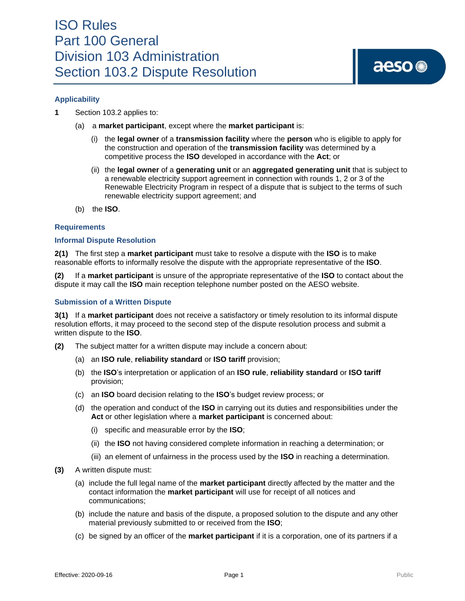### ISO Rules Part 100 General Division 103 Administration Section 103.2 Dispute Resolution

# aeso<sup>®</sup>

#### **Applicability**

**1** Section 103.2 applies to:

- (a) a **market participant**, except where the **market participant** is:
	- (i) the **legal owner** of a **transmission facility** where the **person** who is eligible to apply for the construction and operation of the **transmission facility** was determined by a competitive process the **ISO** developed in accordance with the **Act**; or
	- (ii) the **legal owner** of a **generating unit** or an **aggregated generating unit** that is subject to a renewable electricity support agreement in connection with rounds 1, 2 or 3 of the Renewable Electricity Program in respect of a dispute that is subject to the terms of such renewable electricity support agreement; and
- (b) the **ISO**.

#### **Requirements**

#### **Informal Dispute Resolution**

**2(1)** The first step a **market participant** must take to resolve a dispute with the **ISO** is to make reasonable efforts to informally resolve the dispute with the appropriate representative of the **ISO**.

**(2)** If a **market participant** is unsure of the appropriate representative of the **ISO** to contact about the dispute it may call the **ISO** main reception telephone number posted on the AESO website.

#### **Submission of a Written Dispute**

**3(1)** If a **market participant** does not receive a satisfactory or timely resolution to its informal dispute resolution efforts, it may proceed to the second step of the dispute resolution process and submit a written dispute to the **ISO**.

- **(2)** The subject matter for a written dispute may include a concern about:
	- (a) an **ISO rule**, **reliability standard** or **ISO tariff** provision;
	- (b) the **ISO**'s interpretation or application of an **ISO rule**, **reliability standard** or **ISO tariff** provision;
	- (c) an **ISO** board decision relating to the **ISO**'s budget review process; or
	- (d) the operation and conduct of the **ISO** in carrying out its duties and responsibilities under the **Act** or other legislation where a **market participant** is concerned about:
		- (i) specific and measurable error by the **ISO**;
		- (ii) the **ISO** not having considered complete information in reaching a determination; or
		- (iii) an element of unfairness in the process used by the **ISO** in reaching a determination.
- **(3)** A written dispute must:
	- (a) include the full legal name of the **market participant** directly affected by the matter and the contact information the **market participant** will use for receipt of all notices and communications;
	- (b) include the nature and basis of the dispute, a proposed solution to the dispute and any other material previously submitted to or received from the **ISO**;
	- (c) be signed by an officer of the **market participant** if it is a corporation, one of its partners if a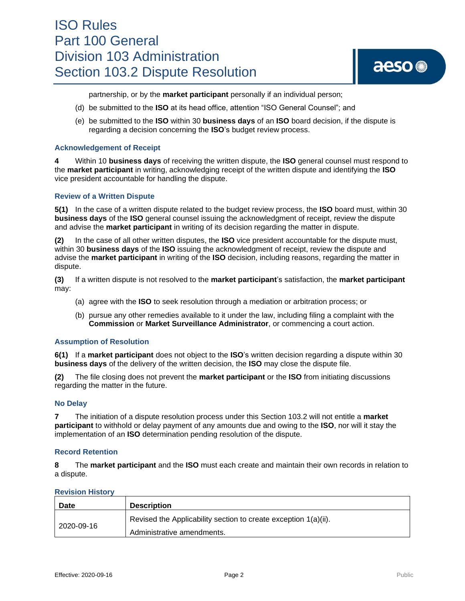### ISO Rules Part 100 General Division 103 Administration Section 103.2 Dispute Resolution

# aeso<sup>®</sup>

partnership, or by the **market participant** personally if an individual person;

- (d) be submitted to the **ISO** at its head office, attention "ISO General Counsel"; and
- (e) be submitted to the **ISO** within 30 **business days** of an **ISO** board decision, if the dispute is regarding a decision concerning the **ISO**'s budget review process.

#### **Acknowledgement of Receipt**

**4** Within 10 **business days** of receiving the written dispute, the **ISO** general counsel must respond to the **market participant** in writing, acknowledging receipt of the written dispute and identifying the **ISO** vice president accountable for handling the dispute.

#### **Review of a Written Dispute**

**5(1)** In the case of a written dispute related to the budget review process, the **ISO** board must, within 30 **business days** of the **ISO** general counsel issuing the acknowledgment of receipt, review the dispute and advise the **market participant** in writing of its decision regarding the matter in dispute.

**(2)** In the case of all other written disputes, the **ISO** vice president accountable for the dispute must, within 30 **business days** of the **ISO** issuing the acknowledgment of receipt, review the dispute and advise the **market participant** in writing of the **ISO** decision, including reasons, regarding the matter in dispute.

**(3)** If a written dispute is not resolved to the **market participant**'s satisfaction, the **market participant** may:

- (a) agree with the **ISO** to seek resolution through a mediation or arbitration process; or
- (b) pursue any other remedies available to it under the law, including filing a complaint with the **Commission** or **Market Surveillance Administrator**, or commencing a court action.

#### **Assumption of Resolution**

**6(1)** If a **market participant** does not object to the **ISO**'s written decision regarding a dispute within 30 **business days** of the delivery of the written decision, the **ISO** may close the dispute file.

**(2)** The file closing does not prevent the **market participant** or the **ISO** from initiating discussions regarding the matter in the future.

#### **No Delay**

**7** The initiation of a dispute resolution process under this Section 103.2 will not entitle a **market participant** to withhold or delay payment of any amounts due and owing to the **ISO**, nor will it stay the implementation of an **ISO** determination pending resolution of the dispute.

#### **Record Retention**

**8** The **market participant** and the **ISO** must each create and maintain their own records in relation to a dispute.

#### **Revision History**

| Date       | <b>Description</b>                                              |
|------------|-----------------------------------------------------------------|
| 2020-09-16 | Revised the Applicability section to create exception 1(a)(ii). |
|            | Administrative amendments.                                      |